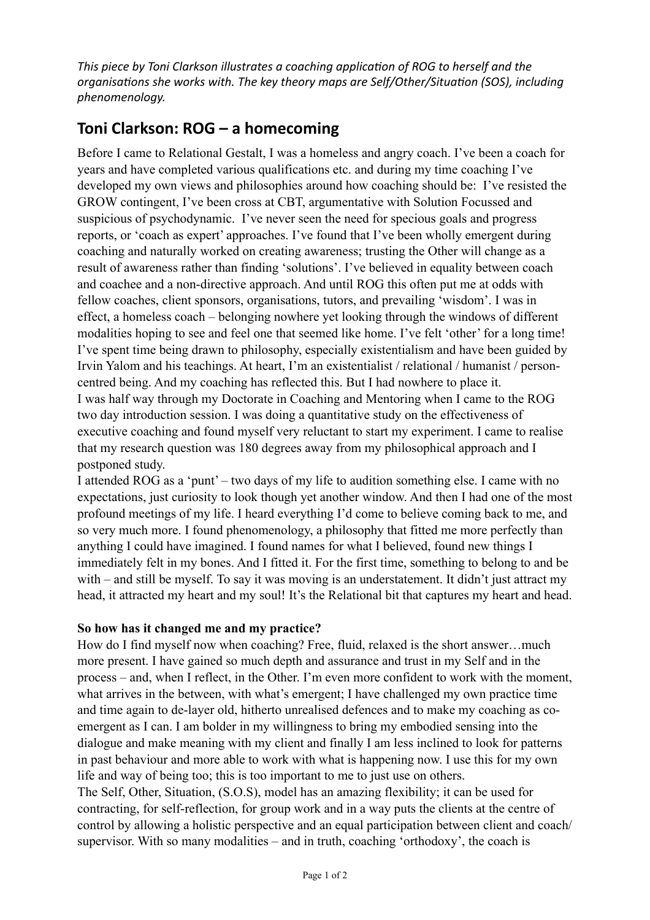This piece by Toni Clarkson illustrates a coaching application of ROG to herself and the organisations she works with. The key theory maps are Self/Other/Situation (SOS), including *phenomenology.* 

## Toni Clarkson: ROG - a homecoming

Before I came to Relational Gestalt, I was a homeless and angry coach. I've been a coach for years and have completed various qualifications etc. and during my time coaching I've developed my own views and philosophies around how coaching should be: I've resisted the GROW contingent, I've been cross at CBT, argumentative with Solution Focussed and suspicious of psychodynamic. I've never seen the need for specious goals and progress reports, or 'coach as expert' approaches. I've found that I've been wholly emergent during coaching and naturally worked on creating awareness; trusting the Other will change as a result of awareness rather than finding 'solutions'. I've believed in equality between coach and coachee and a non-directive approach. And until ROG this often put me at odds with fellow coaches, client sponsors, organisations, tutors, and prevailing 'wisdom'. I was in effect, a homeless coach – belonging nowhere yet looking through the windows of different modalities hoping to see and feel one that seemed like home. I've felt 'other' for a long time! I've spent time being drawn to philosophy, especially existentialism and have been guided by Irvin Yalom and his teachings. At heart, I'm an existentialist / relational / humanist / personcentred being. And my coaching has reflected this. But I had nowhere to place it. I was half way through my Doctorate in Coaching and Mentoring when I came to the ROG two day introduction session. I was doing a quantitative study on the effectiveness of executive coaching and found myself very reluctant to start my experiment. I came to realise that my research question was 180 degrees away from my philosophical approach and I postponed study.

I attended ROG as a 'punt' – two days of my life to audition something else. I came with no expectations, just curiosity to look though yet another window. And then I had one of the most profound meetings of my life. I heard everything I'd come to believe coming back to me, and so very much more. I found phenomenology, a philosophy that fitted me more perfectly than anything I could have imagined. I found names for what I believed, found new things I immediately felt in my bones. And I fitted it. For the first time, something to belong to and be with – and still be myself. To say it was moving is an understatement. It didn't just attract my head, it attracted my heart and my soul! It's the Relational bit that captures my heart and head.

## **So how has it changed me and my practice?**

How do I find myself now when coaching? Free, fluid, relaxed is the short answer…much more present. I have gained so much depth and assurance and trust in my Self and in the process – and, when I reflect, in the Other. I'm even more confident to work with the moment, what arrives in the between, with what's emergent; I have challenged my own practice time and time again to de-layer old, hitherto unrealised defences and to make my coaching as coemergent as I can. I am bolder in my willingness to bring my embodied sensing into the dialogue and make meaning with my client and finally I am less inclined to look for patterns in past behaviour and more able to work with what is happening now. I use this for my own life and way of being too; this is too important to me to just use on others.

The Self, Other, Situation, (S.O.S), model has an amazing flexibility; it can be used for contracting, for self-reflection, for group work and in a way puts the clients at the centre of control by allowing a holistic perspective and an equal participation between client and coach/ supervisor. With so many modalities – and in truth, coaching 'orthodoxy', the coach is